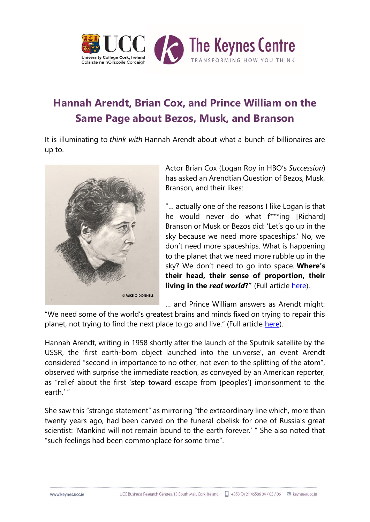

## **Hannah Arendt, Brian Cox, and Prince William on the Same Page about Bezos, Musk, and Branson**

It is illuminating to *think with* Hannah Arendt about what a bunch of billionaires are up to.



Actor Brian Cox (Logan Roy in HBO's *Succession*) has asked an Arendtian Question of Bezos, Musk, Branson, and their likes:

"… actually one of the reasons I like Logan is that he would never do what f\*\*\*ing [Richard] Branson or Musk or Bezos did: 'Let's go up in the sky because we need more spaceships.' No, we don't need more spaceships. What is happening to the planet that we need more rubble up in the sky? We don't need to go into space. **Where's their head, their sense of proportion, their living in the** *real world***?**" (Full article [here\)](https://bit.ly/2YXCQTk).

… and Prince William answers as Arendt might:

"We need some of the world's greatest brains and minds fixed on trying to repair this planet, not trying to find the next place to go and live." (Full article [here\)](https://bit.ly/3aBSczf).

Hannah Arendt, writing in 1958 shortly after the launch of the Sputnik satellite by the USSR, the 'first earth-born object launched into the universe', an event Arendt considered "second in importance to no other, not even to the splitting of the atom", observed with surprise the immediate reaction, as conveyed by an American reporter, as "relief about the first 'step toward escape from [peoples'] imprisonment to the earth<sup>'"</sup>

She saw this "strange statement" as mirroring "the extraordinary line which, more than twenty years ago, had been carved on the funeral obelisk for one of Russia's great scientist: 'Mankind will not remain bound to the earth forever.' " She also noted that "such feelings had been commonplace for some time".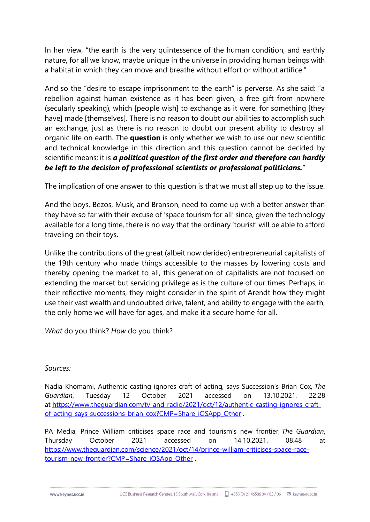In her view, "the earth is the very quintessence of the human condition, and earthly nature, for all we know, maybe unique in the universe in providing human beings with a habitat in which they can move and breathe without effort or without artifice."

And so the "desire to escape imprisonment to the earth" is perverse. As she said: "a rebellion against human existence as it has been given, a free gift from nowhere (secularly speaking), which [people wish] to exchange as it were, for something [they have] made [themselves]. There is no reason to doubt our abilities to accomplish such an exchange, just as there is no reason to doubt our present ability to destroy all organic life on earth. The **question** is only whether we wish to use our new scientific and technical knowledge in this direction and this question cannot be decided by scientific means; it is *a political question of the first order and therefore can hardly be left to the decision of professional scientists or professional politicians.*"

The implication of one answer to this question is that we must all step up to the issue.

And the boys, Bezos, Musk, and Branson, need to come up with a better answer than they have so far with their excuse of 'space tourism for all' since, given the technology available for a long time, there is no way that the ordinary 'tourist' will be able to afford traveling on their toys.

Unlike the contributions of the great (albeit now derided) entrepreneurial capitalists of the 19th century who made things accessible to the masses by lowering costs and thereby opening the market to all, this generation of capitalists are not focused on extending the market but servicing privilege as is the culture of our times. Perhaps, in their reflective moments, they might consider in the spirit of Arendt how they might use their vast wealth and undoubted drive, talent, and ability to engage with the earth, the only home we will have for ages, and make it a secure home for all.

*What* do you think? *How* do you think?

## *Sources:*

Nadia Khomami, Authentic casting ignores craft of acting, says Succession's Brian Cox, *The Guardian*, Tuesday 12 October 2021 accessed on 13.10.2021, 22:28 at [https://www.theguardian.com/tv-and-radio/2021/oct/12/authentic-casting-ignores-craft](https://www.theguardian.com/tv-and-radio/2021/oct/12/authentic-casting-ignores-craft-of-acting-says-successions-brian-cox?CMP=Share_iOSApp_Other)[of-acting-says-successions-brian-cox?CMP=Share\\_iOSApp\\_Other](https://www.theguardian.com/tv-and-radio/2021/oct/12/authentic-casting-ignores-craft-of-acting-says-successions-brian-cox?CMP=Share_iOSApp_Other) .

PA Media, Prince William criticises space race and tourism's new frontier, *The Guardian*, Thursday October 2021 accessed on 14.10.2021, 08.48 at [https://www.theguardian.com/science/2021/oct/14/prince-william-criticises-space-race](https://www.theguardian.com/science/2021/oct/14/prince-william-criticises-space-race-tourism-new-frontier?CMP=Share_iOSApp_Other)[tourism-new-frontier?CMP=Share\\_iOSApp\\_Other](https://www.theguardian.com/science/2021/oct/14/prince-william-criticises-space-race-tourism-new-frontier?CMP=Share_iOSApp_Other) .